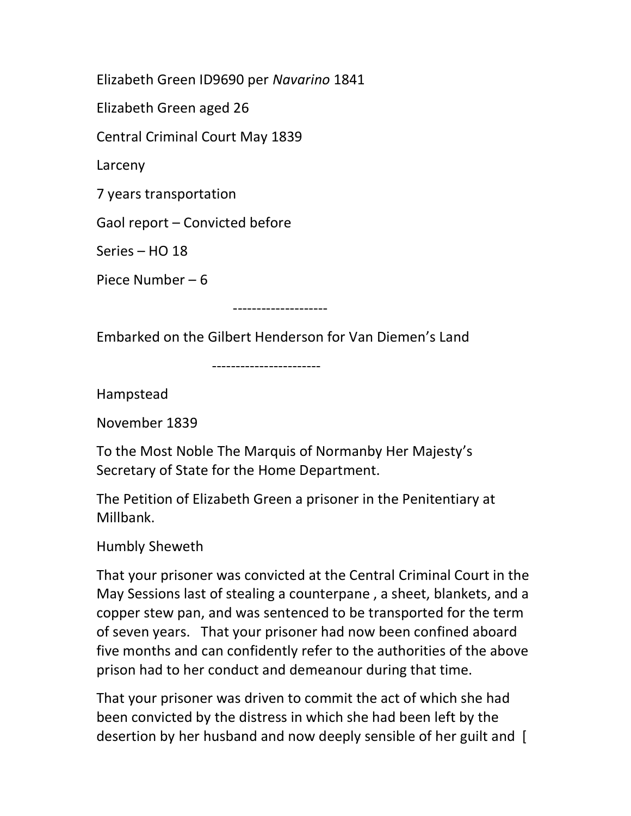Elizabeth Green ID9690 per Navarino 1841

Elizabeth Green aged 26

Central Criminal Court May 1839

Larceny

7 years transportation

Gaol report – Convicted before

Series – HO 18

Piece Number – 6

--------------------

Embarked on the Gilbert Henderson for Van Diemen's Land

-----------------------

Hampstead

November 1839

To the Most Noble The Marquis of Normanby Her Majesty's Secretary of State for the Home Department.

The Petition of Elizabeth Green a prisoner in the Penitentiary at Millbank.

Humbly Sheweth

That your prisoner was convicted at the Central Criminal Court in the May Sessions last of stealing a counterpane , a sheet, blankets, and a copper stew pan, and was sentenced to be transported for the term of seven years. That your prisoner had now been confined aboard five months and can confidently refer to the authorities of the above prison had to her conduct and demeanour during that time.

That your prisoner was driven to commit the act of which she had been convicted by the distress in which she had been left by the desertion by her husband and now deeply sensible of her guilt and [